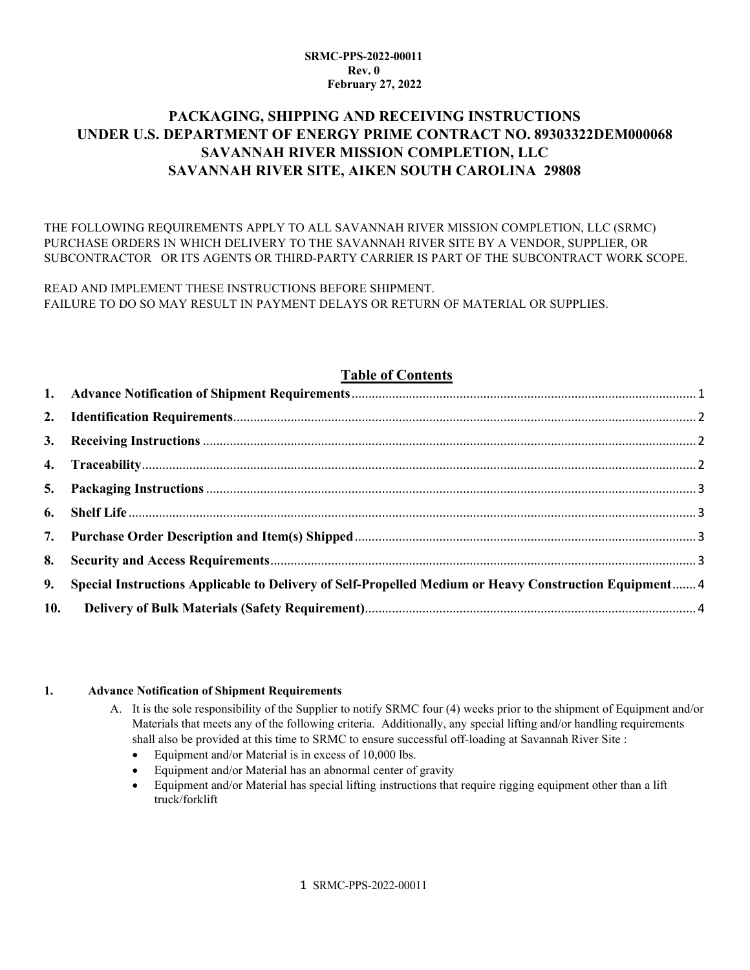#### **SRMC-PPS-2022-00011 Rev. 0 February 27, 2022**

# **PACKAGING, SHIPPING AND RECEIVING INSTRUCTIONS UNDER U.S. DEPARTMENT OF ENERGY PRIME CONTRACT NO. 89303322DEM000068 SAVANNAH RIVER MISSION COMPLETION, LLC SAVANNAH RIVER SITE, AIKEN SOUTH CAROLINA 29808**

THE FOLLOWING REQUIREMENTS APPLY TO ALL SAVANNAH RIVER MISSION COMPLETION, LLC (SRMC) PURCHASE ORDERS IN WHICH DELIVERY TO THE SAVANNAH RIVER SITE BY A VENDOR, SUPPLIER, OR SUBCONTRACTOR OR ITS AGENTS OR THIRD-PARTY CARRIER IS PART OF THE SUBCONTRACT WORK SCOPE.

READ AND IMPLEMENT THESE INSTRUCTIONS BEFORE SHIPMENT. FAILURE TO DO SO MAY RESULT IN PAYMENT DELAYS OR RETURN OF MATERIAL OR SUPPLIES.

# **Table of Contents**

| 9. Special Instructions Applicable to Delivery of Self-Propelled Medium or Heavy Construction Equipment 4 |  |
|-----------------------------------------------------------------------------------------------------------|--|
|                                                                                                           |  |

#### <span id="page-0-0"></span>**1. Advance Notification of Shipment Requirements**

- A. It is the sole responsibility of the Supplier to notify SRMC four (4) weeks prior to the shipment of Equipment and/or Materials that meets any of the following criteria. Additionally, any special lifting and/or handling requirements shall also be provided at this time to SRMC to ensure successful off-loading at Savannah River Site :
	- Equipment and/or Material is in excess of 10,000 lbs.
	- Equipment and/or Material has an abnormal center of gravity
	- Equipment and/or Material has special lifting instructions that require rigging equipment other than a lift truck/forklift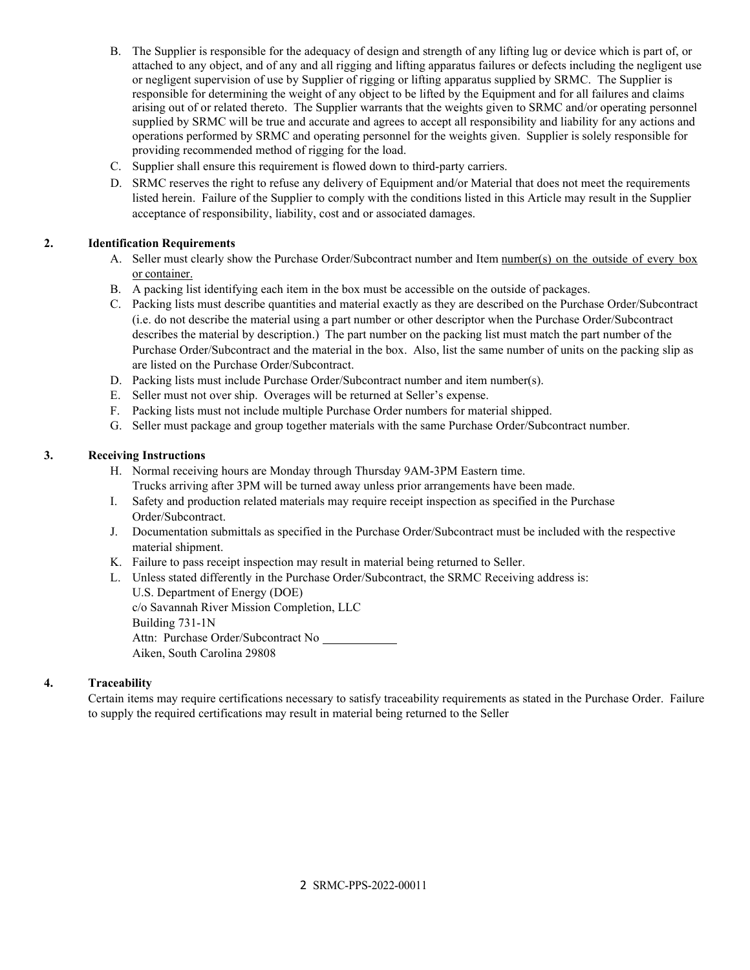- B. The Supplier is responsible for the adequacy of design and strength of any lifting lug or device which is part of, or attached to any object, and of any and all rigging and lifting apparatus failures or defects including the negligent use or negligent supervision of use by Supplier of rigging or lifting apparatus supplied by SRMC. The Supplier is responsible for determining the weight of any object to be lifted by the Equipment and for all failures and claims arising out of or related thereto. The Supplier warrants that the weights given to SRMC and/or operating personnel supplied by SRMC will be true and accurate and agrees to accept all responsibility and liability for any actions and operations performed by SRMC and operating personnel for the weights given. Supplier is solely responsible for providing recommended method of rigging for the load.
- C. Supplier shall ensure this requirement is flowed down to third-party carriers.
- D. SRMC reserves the right to refuse any delivery of Equipment and/or Material that does not meet the requirements listed herein. Failure of the Supplier to comply with the conditions listed in this Article may result in the Supplier acceptance of responsibility, liability, cost and or associated damages.

# <span id="page-1-0"></span>**2. Identification Requirements**

- A. Seller must clearly show the Purchase Order/Subcontract number and Item number(s) on the outside of every box or container.
- B. A packing list identifying each item in the box must be accessible on the outside of packages.
- C. Packing lists must describe quantities and material exactly as they are described on the Purchase Order/Subcontract (i.e. do not describe the material using a part number or other descriptor when the Purchase Order/Subcontract describes the material by description.) The part number on the packing list must match the part number of the Purchase Order/Subcontract and the material in the box. Also, list the same number of units on the packing slip as are listed on the Purchase Order/Subcontract.
- D. Packing lists must include Purchase Order/Subcontract number and item number(s).
- E. Seller must not over ship. Overages will be returned at Seller's expense.
- F. Packing lists must not include multiple Purchase Order numbers for material shipped.
- G. Seller must package and group together materials with the same Purchase Order/Subcontract number.

# <span id="page-1-1"></span>**3. Receiving Instructions**

- H. Normal receiving hours are Monday through Thursday 9AM-3PM Eastern time.
	- Trucks arriving after 3PM will be turned away unless prior arrangements have been made.
- I. Safety and production related materials may require receipt inspection as specified in the Purchase Order/Subcontract.
- J. Documentation submittals as specified in the Purchase Order/Subcontract must be included with the respective material shipment.
- K. Failure to pass receipt inspection may result in material being returned to Seller.
- L. Unless stated differently in the Purchase Order/Subcontract, the SRMC Receiving address is: U.S. Department of Energy (DOE)

c/o Savannah River Mission Completion, LLC Building 731-1N Attn: Purchase Order/Subcontract No Aiken, South Carolina 29808

# <span id="page-1-2"></span>**4. Traceability**

Certain items may require certifications necessary to satisfy traceability requirements as stated in the Purchase Order. Failure to supply the required certifications may result in material being returned to the Seller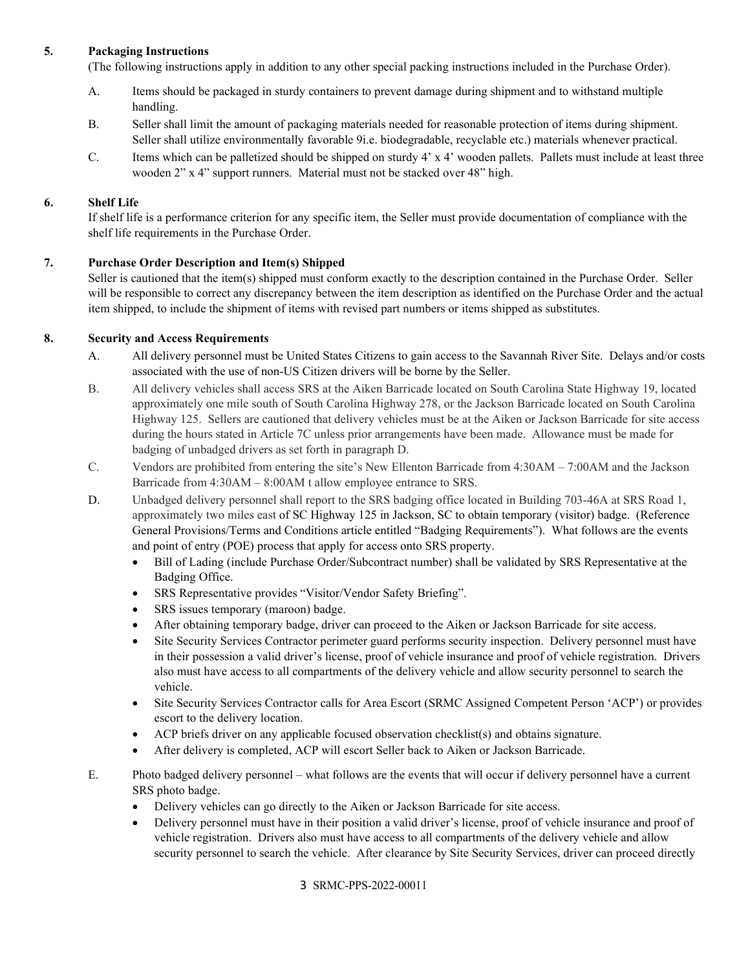### <span id="page-2-0"></span>**5. Packaging Instructions**

(The following instructions apply in addition to any other special packing instructions included in the Purchase Order).

- A. Items should be packaged in sturdy containers to prevent damage during shipment and to withstand multiple handling.
- B. Seller shall limit the amount of packaging materials needed for reasonable protection of items during shipment. Seller shall utilize environmentally favorable 9i.e. biodegradable, recyclable etc.) materials whenever practical.
- C. Items which can be palletized should be shipped on sturdy 4' x 4' wooden pallets. Pallets must include at least three wooden 2" x 4" support runners. Material must not be stacked over 48" high.

### <span id="page-2-1"></span>**6. Shelf Life**

If shelf life is a performance criterion for any specific item, the Seller must provide documentation of compliance with the shelf life requirements in the Purchase Order.

### <span id="page-2-2"></span>**7. Purchase Order Description and Item(s) Shipped**

Seller is cautioned that the item(s) shipped must conform exactly to the description contained in the Purchase Order. Seller will be responsible to correct any discrepancy between the item description as identified on the Purchase Order and the actual item shipped, to include the shipment of items with revised part numbers or items shipped as substitutes.

### <span id="page-2-3"></span>**8. Security and Access Requirements**

- A. All delivery personnel must be United States Citizens to gain access to the Savannah River Site. Delays and/or costs associated with the use of non-US Citizen drivers will be borne by the Seller.
- B. All delivery vehicles shall access SRS at the Aiken Barricade located on South Carolina State Highway 19, located approximately one mile south of South Carolina Highway 278, or the Jackson Barricade located on South Carolina Highway 125. Sellers are cautioned that delivery vehicles must be at the Aiken or Jackson Barricade for site access during the hours stated in Article 7C unless prior arrangements have been made. Allowance must be made for badging of unbadged drivers as set forth in paragraph D.
- C. Vendors are prohibited from entering the site's New Ellenton Barricade from 4:30AM 7:00AM and the Jackson Barricade from 4:30AM – 8:00AM t allow employee entrance to SRS.
- D. Unbadged delivery personnel shall report to the SRS badging office located in Building 703-46A at SRS Road 1, approximately two miles east of SC Highway 125 in Jackson, SC to obtain temporary (visitor) badge. (Reference General Provisions/Terms and Conditions article entitled "Badging Requirements"). What follows are the events and point of entry (POE) process that apply for access onto SRS property.
	- Bill of Lading (include Purchase Order/Subcontract number) shall be validated by SRS Representative at the Badging Office.
	- SRS Representative provides "Visitor/Vendor Safety Briefing".
	- SRS issues temporary (maroon) badge.
	- After obtaining temporary badge, driver can proceed to the Aiken or Jackson Barricade for site access.
	- Site Security Services Contractor perimeter guard performs security inspection. Delivery personnel must have in their possession a valid driver's license, proof of vehicle insurance and proof of vehicle registration. Drivers also must have access to all compartments of the delivery vehicle and allow security personnel to search the vehicle.
	- Site Security Services Contractor calls for Area Escort (SRMC Assigned Competent Person 'ACP') or provides escort to the delivery location.
	- ACP briefs driver on any applicable focused observation checklist(s) and obtains signature.
	- After delivery is completed, ACP will escort Seller back to Aiken or Jackson Barricade.
- E. Photo badged delivery personnel what follows are the events that will occur if delivery personnel have a current SRS photo badge.
	- Delivery vehicles can go directly to the Aiken or Jackson Barricade for site access.
	- Delivery personnel must have in their position a valid driver's license, proof of vehicle insurance and proof of vehicle registration. Drivers also must have access to all compartments of the delivery vehicle and allow security personnel to search the vehicle. After clearance by Site Security Services, driver can proceed directly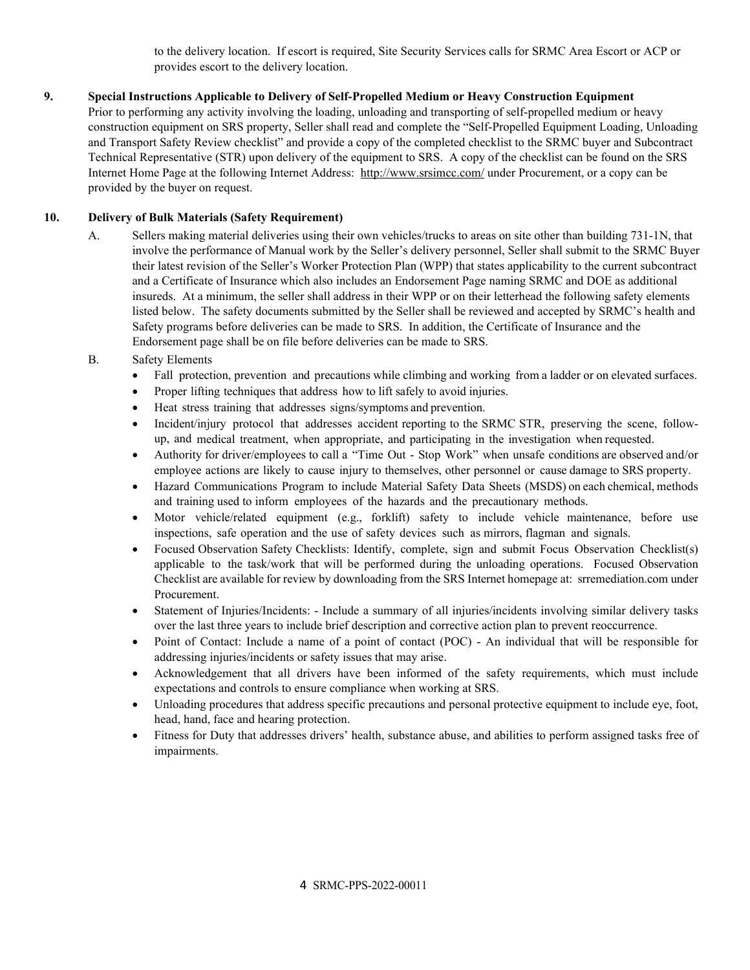to the delivery location. If escort is required, Site Security Services calls for SRMC Area Escort or ACP or provides escort to the delivery location.

### <span id="page-3-0"></span>**9. Special Instructions Applicable to Delivery of Self-Propelled Medium or Heavy Construction Equipment**

Prior to performing any activity involving the loading, unloading and transporting of self-propelled medium or heavy construction equipment on SRS property, Seller shall read and complete the "Self-Propelled Equipment Loading, Unloading and Transport Safety Review checklist" and provide a copy of the completed checklist to the SRMC buyer and Subcontract Technical Representative (STR) upon delivery of the equipment to SRS. A copy of the checklist can be found on the SRS Internet Home Page at the following Internet Address: [http://www.srsimcc.com/](http://www.srremediation.com/) under Procurement, or a copy can be provided by the buyer on request.

### <span id="page-3-1"></span>**10. Delivery of Bulk Materials (Safety Requirement)**

A. Sellers making material deliveries using their own vehicles/trucks to areas on site other than building 731-1N, that involve the performance of Manual work by the Seller's delivery personnel, Seller shall submit to the SRMC Buyer their latest revision of the Seller's Worker Protection Plan (WPP) that states applicability to the current subcontract and a Certificate of Insurance which also includes an Endorsement Page naming SRMC and DOE as additional insureds. At a minimum, the seller shall address in their WPP or on their letterhead the following safety elements listed below. The safety documents submitted by the Seller shall be reviewed and accepted by SRMC's health and Safety programs before deliveries can be made to SRS. In addition, the Certificate of Insurance and the Endorsement page shall be on file before deliveries can be made to SRS.

### B. Safety Elements

- Fall protection, prevention and precautions while climbing and working from a ladder or on elevated surfaces.
- Proper lifting techniques that address how to lift safely to avoid injuries.
- Heat stress training that addresses signs/symptoms and prevention.
- Incident/injury protocol that addresses accident reporting to the SRMC STR, preserving the scene, followup, and medical treatment, when appropriate, and participating in the investigation when requested.
- Authority for driver/employees to call a "Time Out Stop Work" when unsafe conditions are observed and/or employee actions are likely to cause injury to themselves, other personnel or cause damage to SRS property.
- Hazard Communications Program to include Material Safety Data Sheets (MSDS) on each chemical, methods and training used to inform employees of the hazards and the precautionary methods.
- Motor vehicle/related equipment (e.g., forklift) safety to include vehicle maintenance, before use inspections, safe operation and the use of safety devices such as mirrors, flagman and signals.
- Focused Observation Safety Checklists: Identify, complete, sign and submit Focus Observation Checklist(s) applicable to the task/work that will be performed during the unloading operations. Focused Observation Checklist are available for review by downloading from the SRS Internet homepage at: srremediation.com under Procurement.
- Statement of Injuries/Incidents: Include a summary of all injuries/incidents involving similar delivery tasks over the last three years to include brief description and corrective action plan to prevent reoccurrence.
- Point of Contact: Include a name of a point of contact (POC) An individual that will be responsible for addressing injuries/incidents or safety issues that may arise.
- Acknowledgement that all drivers have been informed of the safety requirements, which must include expectations and controls to ensure compliance when working at SRS.
- Unloading procedures that address specific precautions and personal protective equipment to include eye, foot, head, hand, face and hearing protection.
- Fitness for Duty that addresses drivers' health, substance abuse, and abilities to perform assigned tasks free of impairments.